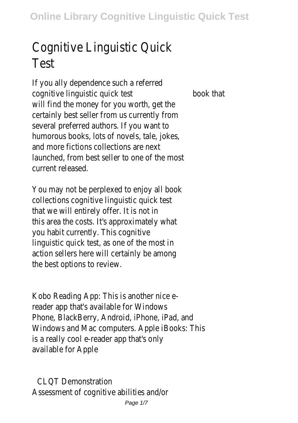## Cognitive Linguistic Quick Test

If you ally dependence such a referred cognitive linguistic quick test book that will find the money for you worth, get the certainly best seller from us currently from several preferred authors. If you want to humorous books, lots of novels, tale, jokes, and more fictions collections are next launched, from best seller to one of the most current released.

You may not be perplexed to enjoy all book collections cognitive linguistic quick test that we will entirely offer. It is not in this area the costs. It's approximately what you habit currently. This cognitive linguistic quick test, as one of the most in action sellers here will certainly be among the best options to review.

Kobo Reading App: This is another nice ereader app that's available for Windows Phone, BlackBerry, Android, iPhone, iPad, and Windows and Mac computers. Apple iBooks: This is a really cool e-reader app that's only available for Apple

CLOT Demonstration Assessment of cognitive abilities and/or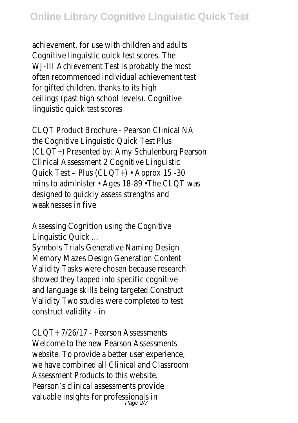achievement, for use with children and adults Cognitive linguistic quick test scores. The WJ-III Achievement Test is probably the most often recommended individual achievement test for gifted children, thanks to its high ceilings (past high school levels). Cognitive linguistic quick test scores

CLQT Product Brochure - Pearson Clinical NA the Cognitive Linguistic Quick Test Plus (CLQT+) Presented by: Amy Schulenburg Pearson Clinical Assessment 2 Cognitive Linguistic Quick Test – Plus (CLQT+) • Approx 15 -30 mins to administer • Ages 18-89 •The CLQT was designed to quickly assess strengths and weaknesses in five

Assessing Cognition using the Cognitive Linguistic Quick ...

Symbols Trials Generative Naming Design Memory Mazes Design Generation Content Validity Tasks were chosen because research showed they tapped into specific cognitive and language skills being targeted Construct Validity Two studies were completed to test construct validity - in

 $CIOT+ 7/26/17$  - Pearson Assessments Welcome to the new Pearson Assessments website. To provide a better user experience, we have combined all Clinical and Classroom Assessment Products to this website. Pearson's clinical assessments provide valuable insights for professionals in<br>Page 2/7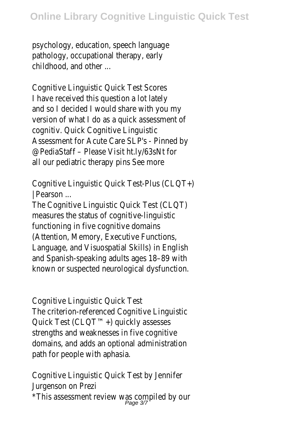## **Online Library Cognitive Linguistic Quick Test**

psychology, education, speech language pathology, occupational therapy, early childhood, and other ...

Cognitive Linguistic Quick Test Scores I have received this question a lot lately and so I decided I would share with you my version of what I do as a quick assessment of cognitiv. Quick Cognitive Linguistic Assessment for Acute Care SLP's - Pinned by @PediaStaff – Please Visit ht.ly/63sNt for all our pediatric therapy pins See more

Cognitive Linguistic Quick Test-Plus (CLQT+) | Pearson ...

The Cognitive Linguistic Quick Test (CLQT) measures the status of cognitive-linguistic functioning in five cognitive domains (Attention, Memory, Executive Functions, Language, and Visuospatial Skills) in English and Spanish-speaking adults ages 18–89 with known or suspected neurological dysfunction.

Cognitive Linguistic Quick Test The criterion-referenced Cognitive Linguistic Quick Test (CLQT™+) quickly assesses strengths and weaknesses in five cognitive domains, and adds an optional administration path for people with aphasia.

Cognitive Linguistic Quick Test by Jennifer Jurgenson on Prezi \*This assessment review was compiled by our<br>Page 3/7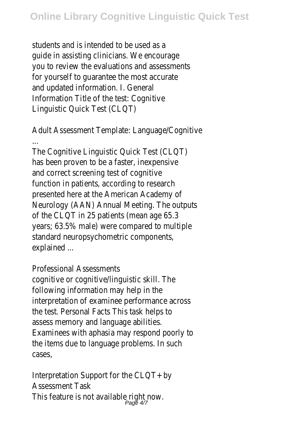students and is intended to be used as a guide in assisting clinicians. We encourage you to review the evaluations and assessments for yourself to guarantee the most accurate and updated information. I. General Information Title of the test: Cognitive Linguistic Quick Test (CLQT)

Adult Assessment Template: Language/Cognitive ...

The Cognitive Linguistic Quick Test (CLQT) has been proven to be a faster, inexpensive and correct screening test of cognitive function in patients, according to research presented here at the American Academy of Neurology (AAN) Annual Meeting. The outputs of the CLQT in 25 patients (mean age 65.3 years; 63.5% male) were compared to multiple standard neuropsychometric components, explained ...

Professional Assessments

cognitive or cognitive/linguistic skill. The following information may help in the interpretation of examinee performance across the test. Personal Facts This task helps to assess memory and language abilities. Examinees with aphasia may respond poorly to the items due to language problems. In such cases,

Interpretation Support for the CLQT+ by Assessment Task This feature is not available right now.<br> $_{Page 4/7}^{Page 4/7}$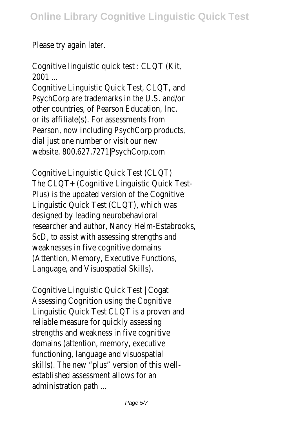Please try again later.

Cognitive linguistic quick test : CLQT (Kit, 2001 ...

Cognitive Linguistic Quick Test, CLQT, and PsychCorp are trademarks in the U.S. and/or other countries, of Pearson Education, Inc. or its affiliate(s). For assessments from Pearson, now including PsychCorp products, dial just one number or visit our new website. 800.627.7271|PsychCorp.com

Cognitive Linguistic Quick Test (CLQT) The CLQT+ (Cognitive Linguistic Quick Test-Plus) is the updated version of the Cognitive Linguistic Quick Test (CLQT), which was designed by leading neurobehavioral researcher and author, Nancy Helm-Estabrooks, ScD, to assist with assessing strengths and weaknesses in five cognitive domains (Attention, Memory, Executive Functions, Language, and Visuospatial Skills).

Cognitive Linguistic Quick Test | Cogat Assessing Cognition using the Cognitive Linguistic Quick Test CLQT is a proven and reliable measure for quickly assessing strengths and weakness in five cognitive domains (attention, memory, executive functioning, language and visuospatial skills). The new "plus" version of this wellestablished assessment allows for an administration path ...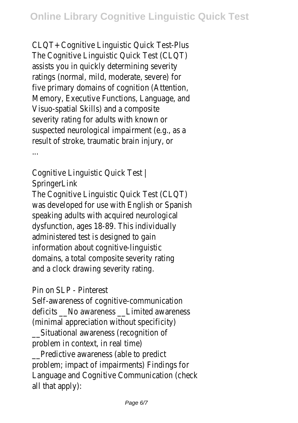CLQT+ Cognitive Linguistic Quick Test-Plus The Cognitive Linguistic Quick Test (CLQT) assists you in quickly determining severity ratings (normal, mild, moderate, severe) for five primary domains of cognition (Attention, Memory, Executive Functions, Language, and Visuo-spatial Skills) and a composite severity rating for adults with known or suspected neurological impairment (e.g., as a result of stroke, traumatic brain injury, or ...

Cognitive Linguistic Quick Test | **SpringerLink** 

The Cognitive Linguistic Quick Test (CLQT) was developed for use with English or Spanish speaking adults with acquired neurological dysfunction, ages 18-89. This individually administered test is designed to gain information about cognitive-linguistic domains, a total composite severity rating and a clock drawing severity rating.

Pin on SLP - Pinterest

Self-awareness of cognitive-communication deficits No awareness Limited awareness (minimal appreciation without specificity)

\_\_Situational awareness (recognition of problem in context, in real time)

\_\_Predictive awareness (able to predict problem; impact of impairments) Findings for Language and Cognitive Communication (check all that apply):